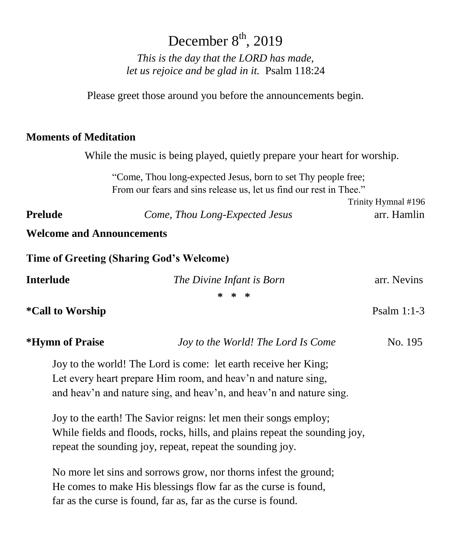# December  $8^{\text{th}}$ , 2019

*This is the day that the LORD has made, let us rejoice and be glad in it.* Psalm 118:24

Please greet those around you before the announcements begin.

## **Moments of Meditation**

While the music is being played, quietly prepare your heart for worship.

"Come, Thou long-expected Jesus, born to set Thy people free; From our fears and sins release us, let us find our rest in Thee."

Trinity Hymnal #196 **Prelude** *Come, Thou Long-Expected Jesus* arr. Hamlin

**Welcome and Announcements**

**Time of Greeting (Sharing God's Welcome)**

| <b>Interlude</b>        | The Divine Infant is Born          | arr. Nevins   |  |
|-------------------------|------------------------------------|---------------|--|
|                         | * * *                              |               |  |
| <i>*Call to Worship</i> |                                    | Psalm $1:1-3$ |  |
| *Hymn of Praise         | Joy to the World! The Lord Is Come | No. 195       |  |

Joy to the world! The Lord is come: let earth receive her King; Let every heart prepare Him room, and heav'n and nature sing, and heav'n and nature sing, and heav'n, and heav'n and nature sing.

Joy to the earth! The Savior reigns: let men their songs employ; While fields and floods, rocks, hills, and plains repeat the sounding joy, repeat the sounding joy, repeat, repeat the sounding joy.

No more let sins and sorrows grow, nor thorns infest the ground; He comes to make His blessings flow far as the curse is found, far as the curse is found, far as, far as the curse is found.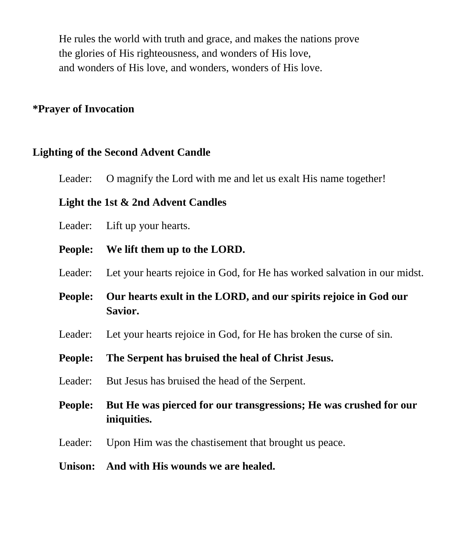He rules the world with truth and grace, and makes the nations prove the glories of His righteousness, and wonders of His love, and wonders of His love, and wonders, wonders of His love.

## **\*Prayer of Invocation**

# **Lighting of the Second Advent Candle**

Leader: O magnify the Lord with me and let us exalt His name together!

## **Light the 1st & 2nd Advent Candles**

Leader: Lift up your hearts.

**People: We lift them up to the LORD.**

Leader: Let your hearts rejoice in God, for He has worked salvation in our midst.

**People: Our hearts exult in the LORD, and our spirits rejoice in God our Savior.**

Leader: Let your hearts rejoice in God, for He has broken the curse of sin.

- **People: The Serpent has bruised the heal of Christ Jesus.**
- Leader: But Jesus has bruised the head of the Serpent.
- **People: But He was pierced for our transgressions; He was crushed for our iniquities.**
- Leader: Upon Him was the chastisement that brought us peace.
- **Unison: And with His wounds we are healed.**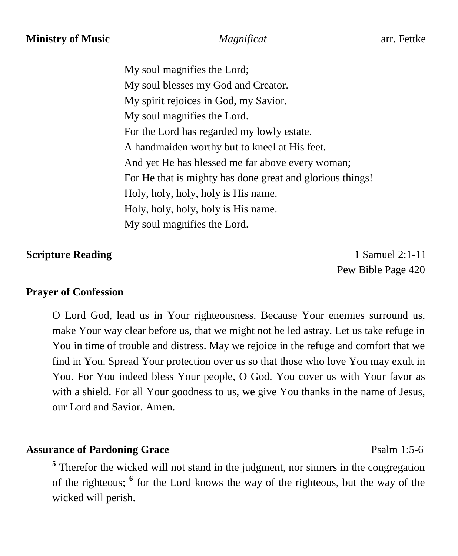My soul magnifies the Lord; My soul blesses my God and Creator. My spirit rejoices in God, my Savior. My soul magnifies the Lord. For the Lord has regarded my lowly estate. A handmaiden worthy but to kneel at His feet. And yet He has blessed me far above every woman; For He that is mighty has done great and glorious things! Holy, holy, holy, holy is His name. Holy, holy, holy, holy is His name. My soul magnifies the Lord.

# **Scripture Reading**  1 Samuel 2:1-11

Pew Bible Page 420

## **Prayer of Confession**

O Lord God, lead us in Your righteousness. Because Your enemies surround us, make Your way clear before us, that we might not be led astray. Let us take refuge in You in time of trouble and distress. May we rejoice in the refuge and comfort that we find in You. Spread Your protection over us so that those who love You may exult in You. For You indeed bless Your people, O God. You cover us with Your favor as with a shield. For all Your goodness to us, we give You thanks in the name of Jesus, our Lord and Savior. Amen.

# **Assurance of Pardoning Grace** Psalm 1:5-6

<sup>5</sup> Therefor the wicked will not stand in the judgment, nor sinners in the congregation of the righteous; **<sup>6</sup>** for the Lord knows the way of the righteous, but the way of the wicked will perish.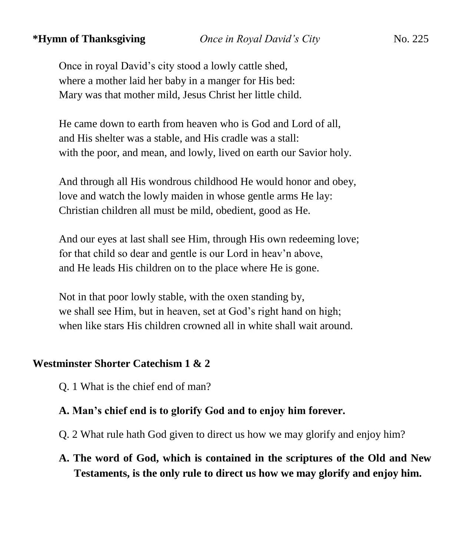# **\*Hymn of Thanksgiving** *Once in Royal David's City*No. 225

Once in royal David's city stood a lowly cattle shed, where a mother laid her baby in a manger for His bed: Mary was that mother mild, Jesus Christ her little child.

He came down to earth from heaven who is God and Lord of all, and His shelter was a stable, and His cradle was a stall: with the poor, and mean, and lowly, lived on earth our Savior holy.

And through all His wondrous childhood He would honor and obey, love and watch the lowly maiden in whose gentle arms He lay: Christian children all must be mild, obedient, good as He.

And our eyes at last shall see Him, through His own redeeming love; for that child so dear and gentle is our Lord in heav'n above, and He leads His children on to the place where He is gone.

Not in that poor lowly stable, with the oxen standing by, we shall see Him, but in heaven, set at God's right hand on high; when like stars His children crowned all in white shall wait around.

## **Westminster Shorter Catechism 1 & 2**

Q. 1 What is the chief end of man?

# **A. Man's chief end is to glorify God and to enjoy him forever.**

- Q. 2 What rule hath God given to direct us how we may glorify and enjoy him?
- **A. The word of God, which is contained in the scriptures of the Old and New Testaments, is the only rule to direct us how we may glorify and enjoy him.**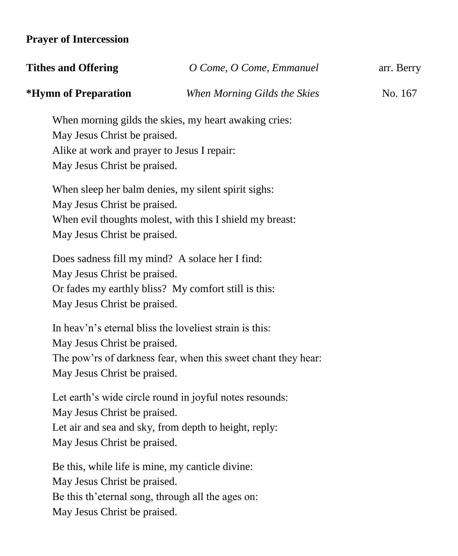# **Prayer of Intercession**

| <b>Tithes and Offering</b> | O Come, O Come, Emmanuel     | arr. Berry |  |
|----------------------------|------------------------------|------------|--|
| *Hymn of Preparation       | When Morning Gilds the Skies | No. 167    |  |

When morning gilds the skies, my heart awaking cries: May Jesus Christ be praised. Alike at work and prayer to Jesus I repair: May Jesus Christ be praised.

When sleep her balm denies, my silent spirit sighs: May Jesus Christ be praised. When evil thoughts molest, with this I shield my breast: May Jesus Christ be praised.

Does sadness fill my mind? A solace her I find: May Jesus Christ be praised. Or fades my earthly bliss? My comfort still is this: May Jesus Christ be praised.

In heav'n's eternal bliss the loveliest strain is this: May Jesus Christ be praised. The pow'rs of darkness fear, when this sweet chant they hear: May Jesus Christ be praised.

Let earth's wide circle round in joyful notes resounds: May Jesus Christ be praised. Let air and sea and sky, from depth to height, reply: May Jesus Christ be praised.

Be this, while life is mine, my canticle divine: May Jesus Christ be praised. Be this th'eternal song, through all the ages on: May Jesus Christ be praised.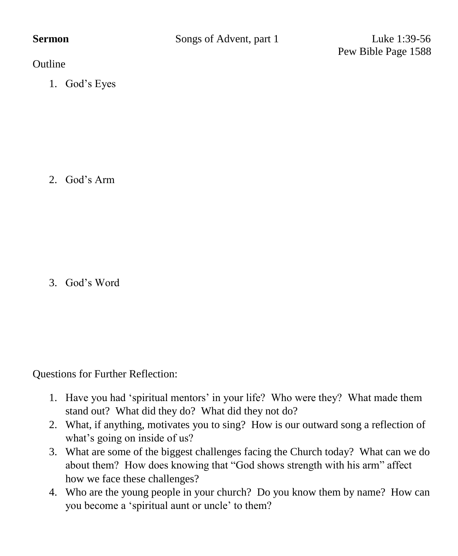Pew Bible Page 1588

**Outline** 

1. God's Eyes

2. God's Arm

3. God's Word

Questions for Further Reflection:

- 1. Have you had 'spiritual mentors' in your life? Who were they? What made them stand out? What did they do? What did they not do?
- 2. What, if anything, motivates you to sing? How is our outward song a reflection of what's going on inside of us?
- 3. What are some of the biggest challenges facing the Church today? What can we do about them? How does knowing that "God shows strength with his arm" affect how we face these challenges?
- 4. Who are the young people in your church? Do you know them by name? How can you become a 'spiritual aunt or uncle' to them?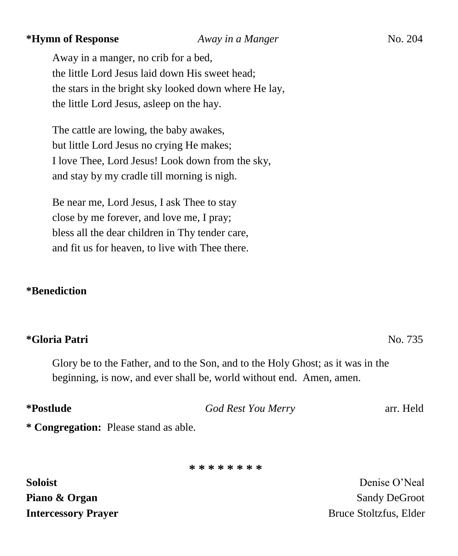# **\*Hymn of Response** *Away in a Manger*No. 204

Away in a manger, no crib for a bed, the little Lord Jesus laid down His sweet head; the stars in the bright sky looked down where He lay, the little Lord Jesus, asleep on the hay.

The cattle are lowing, the baby awakes, but little Lord Jesus no crying He makes; I love Thee, Lord Jesus! Look down from the sky, and stay by my cradle till morning is nigh.

Be near me, Lord Jesus, I ask Thee to stay close by me forever, and love me, I pray; bless all the dear children in Thy tender care, and fit us for heaven, to live with Thee there.

### **\*Benediction**

### **\*Gloria Patri** No. 735

Glory be to the Father, and to the Son, and to the Holy Ghost; as it was in the beginning, is now, and ever shall be, world without end. Amen, amen.

| *Postlude | God Rest You Merry | arr. Held |
|-----------|--------------------|-----------|
|           |                    |           |

**\* Congregation:** Please stand as able.

**\* \* \* \* \* \* \* \***

**Soloist** Denise O'Neal **Piano & Organ**   $\bullet$  **Piano & Organ Intercessory Prayer** Bruce Stoltzfus, Elder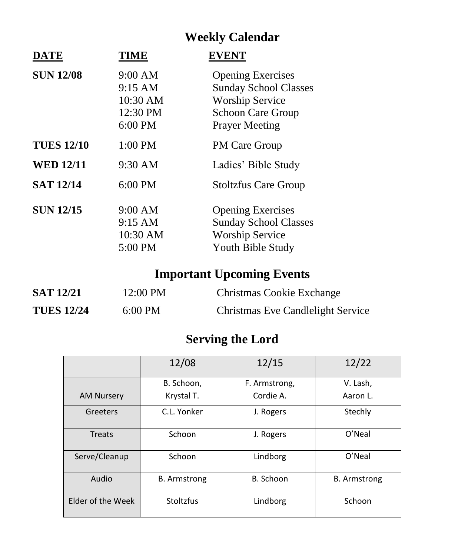# **Weekly Calendar**

| <b>DATE</b>       | <b>TIME</b>                                           | <b>EVENT</b>                                                                                                                            |
|-------------------|-------------------------------------------------------|-----------------------------------------------------------------------------------------------------------------------------------------|
| <b>SUN 12/08</b>  | 9:00 AM<br>9:15 AM<br>10:30 AM<br>12:30 PM<br>6:00 PM | <b>Opening Exercises</b><br><b>Sunday School Classes</b><br><b>Worship Service</b><br><b>Schoon Care Group</b><br><b>Prayer Meeting</b> |
| <b>TUES 12/10</b> | 1:00 PM                                               | <b>PM Care Group</b>                                                                                                                    |
| <b>WED 12/11</b>  | $9:30$ AM                                             | Ladies' Bible Study                                                                                                                     |
| <b>SAT 12/14</b>  | $6:00$ PM                                             | <b>Stoltzfus Care Group</b>                                                                                                             |
| <b>SUN 12/15</b>  | $9:00$ AM<br>9:15 AM<br>10:30 AM<br>5:00 PM           | <b>Opening Exercises</b><br><b>Sunday School Classes</b><br><b>Worship Service</b><br>Youth Bible Study                                 |

# **Important Upcoming Events**

| <b>SAT 12/21</b>  | 12:00 PM          | Christmas Cookie Exchange         |
|-------------------|-------------------|-----------------------------------|
| <b>TUES 12/24</b> | $6:00 \text{ PM}$ | Christmas Eve Candlelight Service |

# **Serving the Lord**

|                   | 12/08               | 12/15         | 12/22               |
|-------------------|---------------------|---------------|---------------------|
|                   | B. Schoon.          | F. Armstrong, | V. Lash,            |
| <b>AM Nursery</b> | Krystal T.          | Cordie A.     | Aaron L.            |
| Greeters          | C.L. Yonker         | J. Rogers     | Stechly             |
| Treats            | Schoon              | J. Rogers     | O'Neal              |
| Serve/Cleanup     | Schoon              | Lindborg      | O'Neal              |
| Audio             | <b>B.</b> Armstrong | B. Schoon     | <b>B.</b> Armstrong |
| Elder of the Week | Stoltzfus           | Lindborg      | Schoon              |